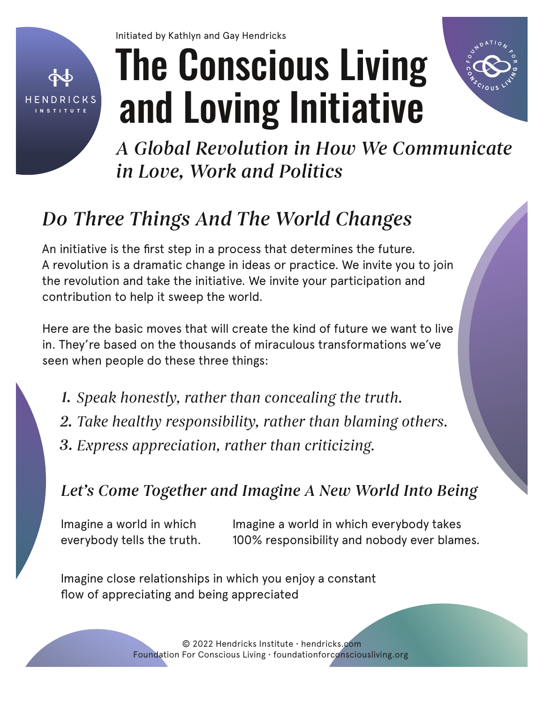

Initiated by Kathlyn and Gay Hendricks

# The Conscious Living and Loving Initiative



*A Global Revolution in How We Communicate in Love, Work and Politics*

# *Do Three Things And The World Changes*

An initiative is the first step in a process that determines the future. A revolution is a dramatic change in ideas or practice. We invite you to join the revolution and take the initiative. We invite your participation and contribution to help it sweep the world.

Here are the basic moves that will create the kind of future we want to live in. They're based on the thousands of miraculous transformations we've seen when people do these three things:

*Speak honestly, rather than concealing the truth. 1. Take healthy responsibility, rather than blaming others. 2. 3. Express appreciation, rather than criticizing.*

### *Let's Come Together and Imagine A New World Into Being*

Imagine a world in which everybody tells the truth.

Imagine a world in which everybody takes 100% responsibility and nobody ever blames.

Imagine close relationships in which you enjoy a constant flow of appreciating and being appreciated

> © 2022 Hendricks Institute • hendricks.com Foundation For Conscious Living • foundationforconsciousliving.org